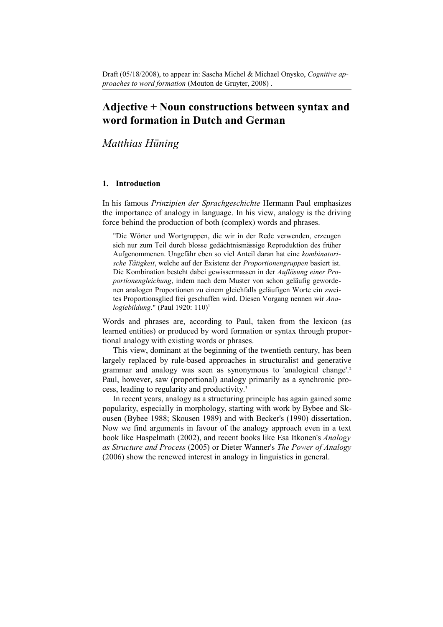# **Adjective + Noun constructions between syntax and word formation in Dutch and German**

*Matthias Hüning*

# **1. Introduction**

In his famous *Prinzipien der Sprachgeschichte* Hermann Paul emphasizes the importance of analogy in language. In his view, analogy is the driving force behind the production of both (complex) words and phrases.

"Die Wörter und Wortgruppen, die wir in der Rede verwenden, erzeugen sich nur zum Teil durch blosse gedächtnismässige Reproduktion des früher Aufgenommenen. Ungefähr eben so viel Anteil daran hat eine *kombinatorische Tätigkeit*, welche auf der Existenz der *Proportionengruppen* basiert ist. Die Kombination besteht dabei gewissermassen in der *Auflösung einer Proportionengleichung*, indem nach dem Muster von schon geläufig gewordenen analogen Proportionen zu einem gleichfalls geläufigen Worte ein zweites Proportionsglied frei geschaffen wird. Diesen Vorgang nennen wir *Analogiebildung*." (Paul 1920: 110)[1](#page-16-0)

Words and phrases are, according to Paul, taken from the lexicon (as learned entities) or produced by word formation or syntax through proportional analogy with existing words or phrases.

This view, dominant at the beginning of the twentieth century, has been largely replaced by rule-based approaches in structuralist and generative grammar and analogy was seen as synonymous to 'analogical change'.<sup>[2](#page-16-1)</sup> Paul, however, saw (proportional) analogy primarily as a synchronic process, leading to regularity and productivity.[3](#page-16-2)

In recent years, analogy as a structuring principle has again gained some popularity, especially in morphology, starting with work by Bybee and Skousen (Bybee 1988; Skousen 1989) and with Becker's (1990) dissertation. Now we find arguments in favour of the analogy approach even in a text book like Haspelmath (2002), and recent books like Esa Itkonen's *Analogy as Structure and Process* (2005) or Dieter Wanner's *The Power of Analogy* (2006) show the renewed interest in analogy in linguistics in general.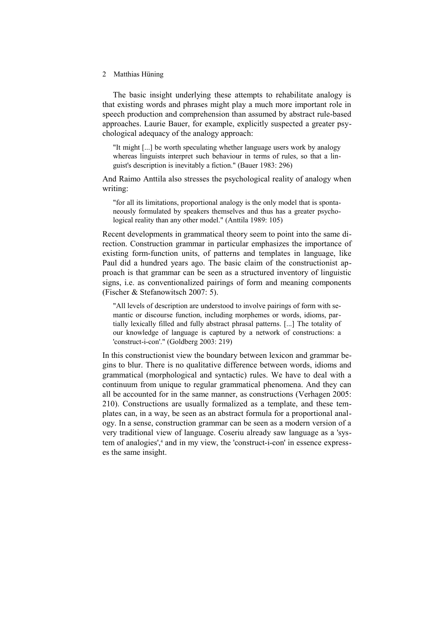The basic insight underlying these attempts to rehabilitate analogy is that existing words and phrases might play a much more important role in speech production and comprehension than assumed by abstract rule-based approaches. Laurie Bauer, for example, explicitly suspected a greater psychological adequacy of the analogy approach:

"It might [...] be worth speculating whether language users work by analogy whereas linguists interpret such behaviour in terms of rules, so that a linguist's description is inevitably a fiction." (Bauer 1983: 296)

And Raimo Anttila also stresses the psychological reality of analogy when writing:

"for all its limitations, proportional analogy is the only model that is spontaneously formulated by speakers themselves and thus has a greater psychological reality than any other model." (Anttila 1989: 105)

Recent developments in grammatical theory seem to point into the same direction. Construction grammar in particular emphasizes the importance of existing form-function units, of patterns and templates in language, like Paul did a hundred years ago. The basic claim of the constructionist approach is that grammar can be seen as a structured inventory of linguistic signs, i.e. as conventionalized pairings of form and meaning components (Fischer & Stefanowitsch 2007: 5).

"All levels of description are understood to involve pairings of form with semantic or discourse function, including morphemes or words, idioms, partially lexically filled and fully abstract phrasal patterns. [...] The totality of our knowledge of language is captured by a network of constructions: a 'construct-i-con'." (Goldberg 2003: 219)

In this constructionist view the boundary between lexicon and grammar begins to blur. There is no qualitative difference between words, idioms and grammatical (morphological and syntactic) rules. We have to deal with a continuum from unique to regular grammatical phenomena. And they can all be accounted for in the same manner, as constructions (Verhagen 2005: 210). Constructions are usually formalized as a template, and these templates can, in a way, be seen as an abstract formula for a proportional analogy. In a sense, construction grammar can be seen as a modern version of a very traditional view of language. Coseriu already saw language as a 'sys-tem of analogies',<sup>[4](#page-16-3)</sup> and in my view, the 'construct-i-con' in essence expresses the same insight.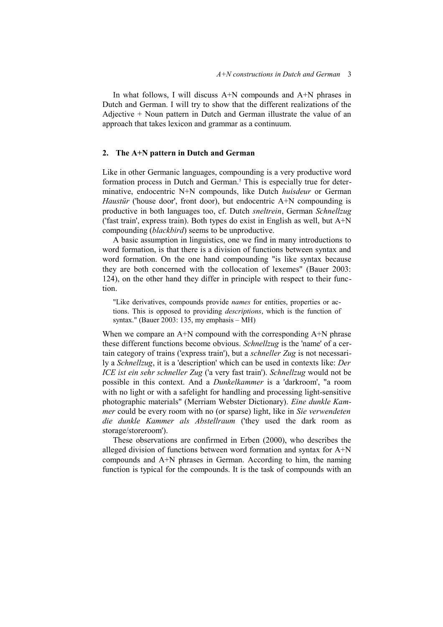In what follows, I will discuss A+N compounds and A+N phrases in Dutch and German. I will try to show that the different realizations of the Adjective + Noun pattern in Dutch and German illustrate the value of an approach that takes lexicon and grammar as a continuum.

# **2. The A+N pattern in Dutch and German**

Like in other Germanic languages, compounding is a very productive word formation process in Dutch and German.<sup>[5](#page-16-4)</sup> This is especially true for determinative, endocentric N+N compounds, like Dutch *huisdeur* or German *Haustür* ('house door', front door), but endocentric A+N compounding is productive in both languages too, cf. Dutch *sneltrein*, German *Schnellzug* ('fast train', express train). Both types do exist in English as well, but A+N compounding (*blackbird*) seems to be unproductive.

A basic assumption in linguistics, one we find in many introductions to word formation, is that there is a division of functions between syntax and word formation. On the one hand compounding "is like syntax because they are both concerned with the collocation of lexemes" (Bauer 2003: 124), on the other hand they differ in principle with respect to their function.

"Like derivatives, compounds provide *names* for entities, properties or actions. This is opposed to providing *descriptions*, which is the function of syntax." (Bauer 2003: 135, my emphasis – MH)

When we compare an A+N compound with the corresponding A+N phrase these different functions become obvious. *Schnellzug* is the 'name' of a certain category of trains ('express train'), but a *schneller Zug* is not necessarily a *Schnellzug*, it is a 'description' which can be used in contexts like: *Der ICE ist ein sehr schneller Zug* ('a very fast train'). *Schnellzug* would not be possible in this context. And a *Dunkelkammer* is a 'darkroom', "a room with no light or with a safelight for handling and processing light-sensitive photographic materials" (Merriam Webster Dictionary). *Eine dunkle Kammer* could be every room with no (or sparse) light, like in *Sie verwendeten die dunkle Kammer als Abstellraum* ('they used the dark room as storage/storeroom').

These observations are confirmed in Erben (2000), who describes the alleged division of functions between word formation and syntax for A+N compounds and A+N phrases in German. According to him, the naming function is typical for the compounds. It is the task of compounds with an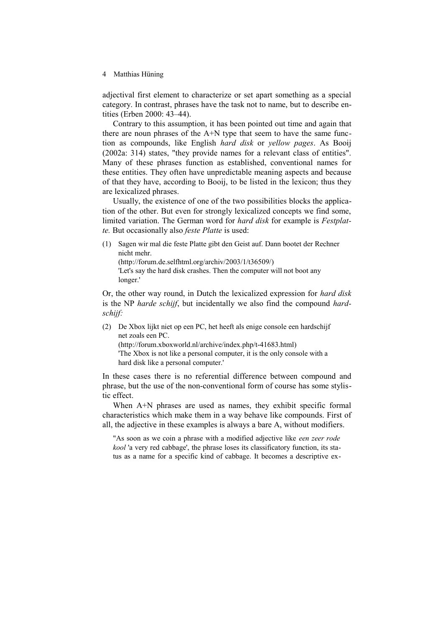adjectival first element to characterize or set apart something as a special category. In contrast, phrases have the task not to name, but to describe entities (Erben 2000: 43–44).

Contrary to this assumption, it has been pointed out time and again that there are noun phrases of the A+N type that seem to have the same function as compounds, like English *hard disk* or *yellow pages*. As Booij (2002a: 314) states, "they provide names for a relevant class of entities". Many of these phrases function as established, conventional names for these entities. They often have unpredictable meaning aspects and because of that they have, according to Booij, to be listed in the lexicon; thus they are lexicalized phrases.

Usually, the existence of one of the two possibilities blocks the application of the other. But even for strongly lexicalized concepts we find some, limited variation. The German word for *hard disk* for example is *Festplatte.* But occasionally also *feste Platte* is used:

(1) Sagen wir mal die feste Platte gibt den Geist auf. Dann bootet der Rechner nicht mehr. (http://forum.de.selfhtml.org/archiv/2003/1/t36509/) 'Let's say the hard disk crashes. Then the computer will not boot any longer.'

Or, the other way round, in Dutch the lexicalized expression for *hard disk* is the NP *harde schijf*, but incidentally we also find the compound *hardschijf:*

(2) De Xbox lijkt niet op een PC, het heeft als enige console een hardschijf net zoals een PC.

(http://forum.xboxworld.nl/archive/index.php/t-41683.html) 'The Xbox is not like a personal computer, it is the only console with a hard disk like a personal computer.'

In these cases there is no referential difference between compound and phrase, but the use of the non-conventional form of course has some stylistic effect.

When A<sup>+</sup>N phrases are used as names, they exhibit specific formal characteristics which make them in a way behave like compounds. First of all, the adjective in these examples is always a bare A, without modifiers.

"As soon as we coin a phrase with a modified adjective like *een zeer rode kool* 'a very red cabbage', the phrase loses its classificatory function, its status as a name for a specific kind of cabbage. It becomes a descriptive ex-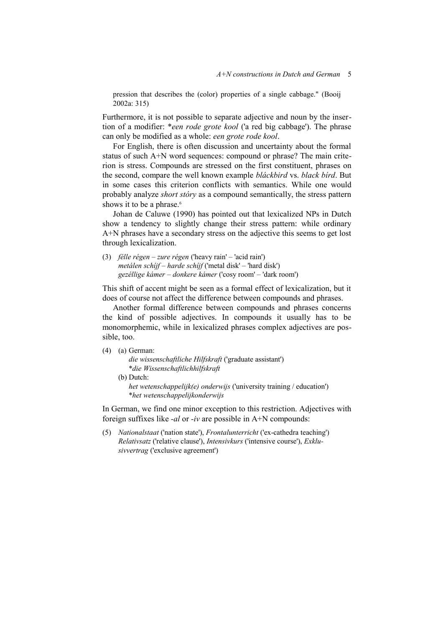pression that describes the (color) properties of a single cabbage." (Booij 2002a: 315)

Furthermore, it is not possible to separate adjective and noun by the insertion of a modifier: \**een rode grote kool* ('a red big cabbage'). The phrase can only be modified as a whole: *een grote rode kool*.

For English, there is often discussion and uncertainty about the formal status of such A+N word sequences: compound or phrase? The main criterion is stress. Compounds are stressed on the first constituent, phrases on the second, compare the well known example *bláckbird* vs. *black bírd*. But in some cases this criterion conflicts with semantics. While one would probably analyze *short stóry* as a compound semantically, the stress pattern shows it to be a phrase.<sup>[6](#page-16-5)</sup>

Johan de Caluwe (1990) has pointed out that lexicalized NPs in Dutch show a tendency to slightly change their stress pattern: while ordinary A+N phrases have a secondary stress on the adjective this seems to get lost through lexicalization.

(3) *félle régen – zure régen* ('heavy rain' – 'acid rain') *metálen schíjf – harde schíjf* ('metal disk' – 'hard disk') *gezéllige kámer – donkere kámer* ('cosy room' – 'dark room')

This shift of accent might be seen as a formal effect of lexicalization, but it does of course not affect the difference between compounds and phrases.

Another formal difference between compounds and phrases concerns the kind of possible adjectives. In compounds it usually has to be monomorphemic, while in lexicalized phrases complex adjectives are possible, too.

#### (4) (a) German:

*die wissenschaftliche Hilfskraft* ('graduate assistant') \**die Wissenschaftlichhilfskraft*

(b) Dutch: *het wetenschappelijk(e) onderwijs* ('university training / education') \**het wetenschappelijkonderwijs*

In German, we find one minor exception to this restriction. Adjectives with foreign suffixes like *-al* or *-iv* are possible in A+N compounds:

(5) *Nationalstaat* ('nation state'), *Frontalunterricht* ('ex-cathedra teaching') *Relativsatz* ('relative clause'), *Intensivkurs* ('intensive course'), *Exklusivvertrag* ('exclusive agreement')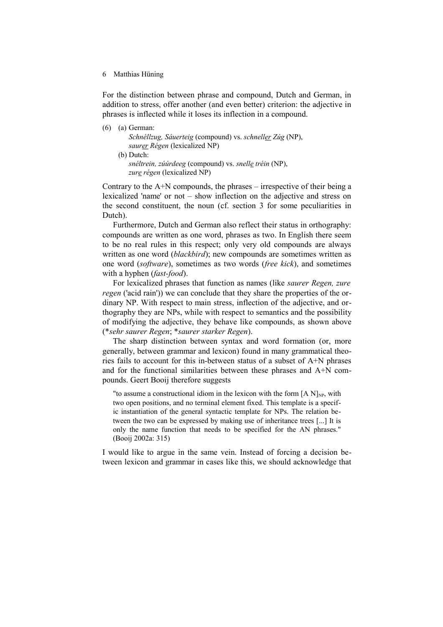For the distinction between phrase and compound, Dutch and German, in addition to stress, offer another (and even better) criterion: the adjective in phrases is inflected while it loses its inflection in a compound.

| (6) | (a) German:                                                                   |
|-----|-------------------------------------------------------------------------------|
|     | <i>Schnéllzug, Sáuerteig</i> (compound) vs. <i>schnell<u>er</u> Zúg</i> (NP), |
|     | saurer Régen (lexicalized NP)                                                 |
|     | $(b)$ Dutch:                                                                  |
|     | <i>snéltrein, zúúrdeeg</i> (compound) vs. <i>snell<u>e</u> tréin</i> (NP),    |
|     | zure régen (lexicalized NP)                                                   |

Contrary to the  $A+N$  compounds, the phrases – irrespective of their being a lexicalized 'name' or not – show inflection on the adjective and stress on the second constituent, the noun (cf. section 3 for some peculiarities in Dutch).

Furthermore, Dutch and German also reflect their status in orthography: compounds are written as one word, phrases as two. In English there seem to be no real rules in this respect; only very old compounds are always written as one word (*blackbird*); new compounds are sometimes written as one word (*software*), sometimes as two words (*free kick*), and sometimes with a hyphen (*fast-food*).

For lexicalized phrases that function as names (like *saurer Regen, zure regen* ('acid rain')) we can conclude that they share the properties of the ordinary NP. With respect to main stress, inflection of the adjective, and orthography they are NPs, while with respect to semantics and the possibility of modifying the adjective, they behave like compounds, as shown above (\**sehr saurer Regen*; \**saurer starker Regen*).

The sharp distinction between syntax and word formation (or, more generally, between grammar and lexicon) found in many grammatical theories fails to account for this in-between status of a subset of A+N phrases and for the functional similarities between these phrases and A+N compounds. Geert Booij therefore suggests

"to assume a constructional idiom in the lexicon with the form  $[A N]_{NP}$ , with two open positions, and no terminal element fixed. This template is a specific instantiation of the general syntactic template for NPs. The relation between the two can be expressed by making use of inheritance trees [...] It is only the name function that needs to be specified for the AN phrases." (Booij 2002a: 315)

I would like to argue in the same vein. Instead of forcing a decision between lexicon and grammar in cases like this, we should acknowledge that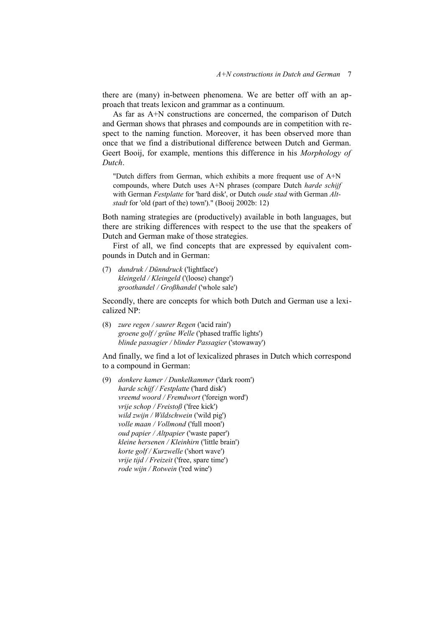there are (many) in-between phenomena. We are better off with an approach that treats lexicon and grammar as a continuum.

As far as A+N constructions are concerned, the comparison of Dutch and German shows that phrases and compounds are in competition with respect to the naming function. Moreover, it has been observed more than once that we find a distributional difference between Dutch and German. Geert Booij, for example, mentions this difference in his *Morphology of Dutch*.

"Dutch differs from German, which exhibits a more frequent use of A+N compounds, where Dutch uses A+N phrases (compare Dutch *harde schijf* with German *Festplatte* for 'hard disk', or Dutch *oude stad* with German *Altstadt* for 'old (part of the) town')." (Booij 2002b: 12)

Both naming strategies are (productively) available in both languages, but there are striking differences with respect to the use that the speakers of Dutch and German make of those strategies.

First of all, we find concepts that are expressed by equivalent compounds in Dutch and in German:

(7) *dundruk / Dünndruck* ('lightface') *kleingeld / Kleingeld* ('(loose) change') *groothandel / Großhandel* ('whole sale')

Secondly, there are concepts for which both Dutch and German use a lexicalized NP:

(8) *zure regen / saurer Regen* ('acid rain') *groene golf / grüne Welle* ('phased traffic lights') *blinde passagier / blinder Passagier* ('stowaway')

And finally, we find a lot of lexicalized phrases in Dutch which correspond to a compound in German:

(9) *donkere kamer / Dunkelkammer* ('dark room') *harde schijf / Festplatte* ('hard disk') *vreemd woord / Fremdwort* ('foreign word') *vrije schop / Freistoß* ('free kick') *wild zwijn / Wildschwein* ('wild pig') *volle maan / Vollmond* ('full moon') *oud papier / Altpapier* ('waste paper') *kleine hersenen / Kleinhirn* ('little brain') *korte golf / Kurzwelle* ('short wave') *vrije tijd / Freizeit* ('free, spare time') *rode wijn / Rotwein* ('red wine')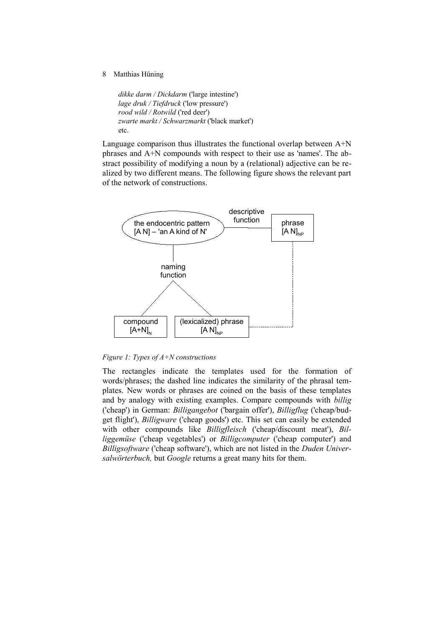*dikke darm / Dickdarm* ('large intestine') *lage druk / Tiefdruck* ('low pressure') *rood wild / Rotwild* ('red deer') *zwarte markt / Schwarzmarkt* ('black market') etc.

Language comparison thus illustrates the functional overlap between A+N phrases and A+N compounds with respect to their use as 'names'. The abstract possibility of modifying a noun by a (relational) adjective can be realized by two different means. The following figure shows the relevant part of the network of constructions.



*Figure 1: Types of A+N constructions*

The rectangles indicate the templates used for the formation of words/phrases; the dashed line indicates the similarity of the phrasal templates. New words or phrases are coined on the basis of these templates and by analogy with existing examples. Compare compounds with *billig* ('cheap') in German: *Billigangebot* ('bargain offer'), *Billigflug* ('cheap/budget flight'), *Billigware* ('cheap goods') etc. This set can easily be extended with other compounds like *Billigfleisch* ('cheap/discount meat'), *Billiggemüse* ('cheap vegetables') or *Billigcomputer* ('cheap computer') and *Billigsoftware* ('cheap software'), which are not listed in the *Duden Universalwörterbuch,* but *Google* returns a great many hits for them.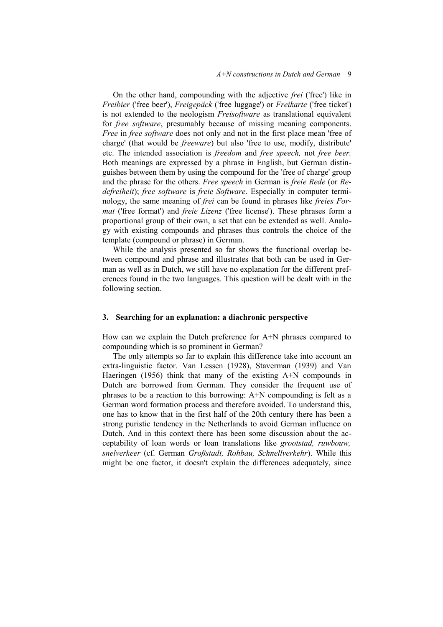On the other hand, compounding with the adjective *frei* ('free') like in *Freibier* ('free beer'), *Freigepäck* ('free luggage') or *Freikarte* ('free ticket') is not extended to the neologism *Freisoftware* as translational equivalent for *free software*, presumably because of missing meaning components. *Free* in *free software* does not only and not in the first place mean 'free of charge' (that would be *freeware*) but also 'free to use, modify, distribute' etc. The intended association is *freedom* and *free speech,* not *free beer.* Both meanings are expressed by a phrase in English, but German distinguishes between them by using the compound for the 'free of charge' group and the phrase for the others. *Free speech* in German is *freie Rede* (or *Redefreiheit*); *free software* is *freie Software*. Especially in computer terminology, the same meaning of *frei* can be found in phrases like *freies Format* ('free format') and *freie Lizenz* ('free license'). These phrases form a proportional group of their own, a set that can be extended as well. Analogy with existing compounds and phrases thus controls the choice of the template (compound or phrase) in German.

While the analysis presented so far shows the functional overlap between compound and phrase and illustrates that both can be used in German as well as in Dutch, we still have no explanation for the different preferences found in the two languages. This question will be dealt with in the following section.

# **3. Searching for an explanation: a diachronic perspective**

How can we explain the Dutch preference for A+N phrases compared to compounding which is so prominent in German?

The only attempts so far to explain this difference take into account an extra-linguistic factor. Van Lessen (1928), Staverman (1939) and Van Haeringen (1956) think that many of the existing A+N compounds in Dutch are borrowed from German. They consider the frequent use of phrases to be a reaction to this borrowing: A+N compounding is felt as a German word formation process and therefore avoided. To understand this, one has to know that in the first half of the 20th century there has been a strong puristic tendency in the Netherlands to avoid German influence on Dutch. And in this context there has been some discussion about the acceptability of loan words or loan translations like *grootstad, ruwbouw, snelverkeer* (cf. German *Großstadt, Rohbau, Schnellverkehr*). While this might be one factor, it doesn't explain the differences adequately, since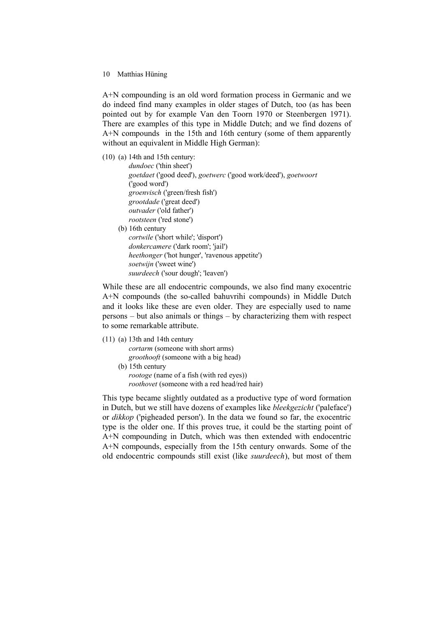A+N compounding is an old word formation process in Germanic and we do indeed find many examples in older stages of Dutch, too (as has been pointed out by for example Van den Toorn 1970 or Steenbergen 1971). There are examples of this type in Middle Dutch; and we find dozens of A+N compounds in the 15th and 16th century (some of them apparently without an equivalent in Middle High German):

(10) (a) 14th and 15th century:

*dundoec* ('thin sheet') *goetdaet* ('good deed'), *goetwerc* ('good work/deed'), *goetwoort*  ('good word') *groenvisch* ('green/fresh fish') *grootdade* ('great deed') *outvader* ('old father') *rootsteen* ('red stone') (b) 16th century *cortwile* ('short while'; 'disport') *donkercamere* ('dark room'; 'jail') *heethonger* ('hot hunger', 'ravenous appetite') *soetwijn* ('sweet wine') *suurdeech* ('sour dough'; 'leaven')

While these are all endocentric compounds, we also find many exocentric A+N compounds (the so-called bahuvrihi compounds) in Middle Dutch and it looks like these are even older. They are especially used to name persons – but also animals or things – by characterizing them with respect to some remarkable attribute.

(11) (a) 13th and 14th century *cortarm* (someone with short arms) *groothooft* (someone with a big head) (b) 15th century

> *rootoge* (name of a fish (with red eyes)) *roothovet* (someone with a red head/red hair)

This type became slightly outdated as a productive type of word formation in Dutch, but we still have dozens of examples like *bleekgezicht* ('paleface') or *dikkop* ('pigheaded person'). In the data we found so far, the exocentric type is the older one. If this proves true, it could be the starting point of A+N compounding in Dutch, which was then extended with endocentric A+N compounds, especially from the 15th century onwards. Some of the old endocentric compounds still exist (like *suurdeech*), but most of them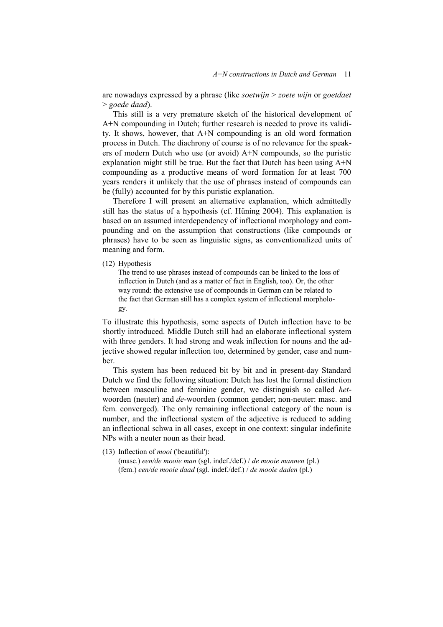are nowadays expressed by a phrase (like *soetwijn* > *zoete wijn* or *goetdaet* > *goede daad*).

This still is a very premature sketch of the historical development of A+N compounding in Dutch; further research is needed to prove its validity. It shows, however, that A+N compounding is an old word formation process in Dutch. The diachrony of course is of no relevance for the speakers of modern Dutch who use (or avoid) A+N compounds, so the puristic explanation might still be true. But the fact that Dutch has been using A+N compounding as a productive means of word formation for at least 700 years renders it unlikely that the use of phrases instead of compounds can be (fully) accounted for by this puristic explanation.

Therefore I will present an alternative explanation, which admittedly still has the status of a hypothesis (cf. Hüning 2004). This explanation is based on an assumed interdependency of inflectional morphology and compounding and on the assumption that constructions (like compounds or phrases) have to be seen as linguistic signs, as conventionalized units of meaning and form.

(12) Hypothesis

The trend to use phrases instead of compounds can be linked to the loss of inflection in Dutch (and as a matter of fact in English, too). Or, the other way round: the extensive use of compounds in German can be related to the fact that German still has a complex system of inflectional morphology.

To illustrate this hypothesis, some aspects of Dutch inflection have to be shortly introduced. Middle Dutch still had an elaborate inflectional system with three genders. It had strong and weak inflection for nouns and the adjective showed regular inflection too, determined by gender, case and number.

This system has been reduced bit by bit and in present-day Standard Dutch we find the following situation: Dutch has lost the formal distinction between masculine and feminine gender, we distinguish so called *het*woorden (neuter) and *de*-woorden (common gender; non-neuter: masc. and fem. converged). The only remaining inflectional category of the noun is number, and the inflectional system of the adjective is reduced to adding an inflectional schwa in all cases, except in one context: singular indefinite NPs with a neuter noun as their head.

(13) Inflection of *mooi* ('beautiful'):

(masc.) *een/de mooie man* (sgl. indef./def.) / *de mooie mannen* (pl.) (fem.) *een/de mooie daad* (sgl. indef./def.) / *de mooie daden* (pl.)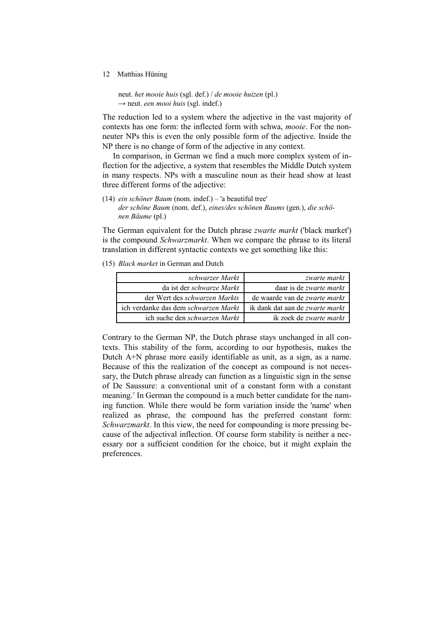neut. *het mooie huis* (sgl. def.) / *de mooie huizen* (pl.) → neut. *een mooi huis* (sgl. indef.)

The reduction led to a system where the adjective in the vast majority of contexts has one form: the inflected form with schwa, *mooie*. For the nonneuter NPs this is even the only possible form of the adjective. Inside the NP there is no change of form of the adjective in any context.

In comparison, in German we find a much more complex system of inflection for the adjective, a system that resembles the Middle Dutch system in many respects. NPs with a masculine noun as their head show at least three different forms of the adjective:

(14) *ein schöner Baum* (nom. indef.) – 'a beautiful tree' *der schöne Baum* (nom. def.), *eines/des schönen Baums* (gen.), *die schönen Bäume* (pl.)

The German equivalent for the Dutch phrase *zwarte markt* ('black market') is the compound *Schwarzmarkt*. When we compare the phrase to its literal translation in different syntactic contexts we get something like this:

(15) *Black market* in German and Dutch

| schwarzer Markt                             | zwarte markt                           |
|---------------------------------------------|----------------------------------------|
| da ist der <i>schwarze Markt</i>            | daar is de <i>zwarte markt</i>         |
| der Wert des <i>schwarzen Markts</i>        | de waarde van de <i>zwarte markt</i>   |
| ich verdanke das dem <i>schwarzen Markt</i> | ik dank dat aan de <i>zwarte markt</i> |
| ich suche den <i>schwarzen Markt</i>        | ik zoek de zwarte markt                |

Contrary to the German NP, the Dutch phrase stays unchanged in all contexts. This stability of the form, according to our hypothesis, makes the Dutch A+N phrase more easily identifiable as unit, as a sign, as a name. Because of this the realization of the concept as compound is not necessary, the Dutch phrase already can function as a linguistic sign in the sense of De Saussure: a conventional unit of a constant form with a constant meaning.<sup>[7](#page-16-6)</sup> In German the compound is a much better candidate for the naming function. While there would be form variation inside the 'name' when realized as phrase, the compound has the preferred constant form: *Schwarzmarkt*. In this view, the need for compounding is more pressing because of the adjectival inflection. Of course form stability is neither a necessary nor a sufficient condition for the choice, but it might explain the preferences.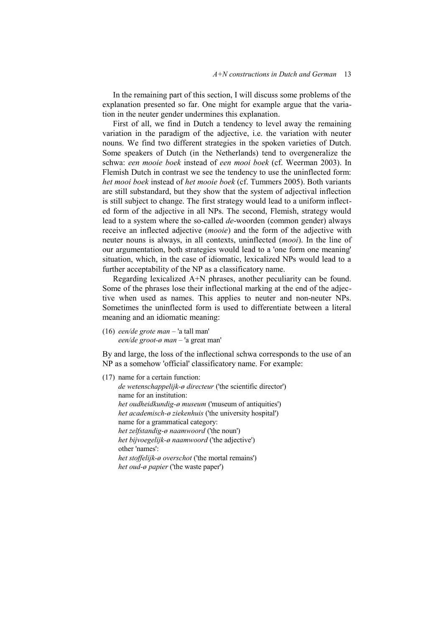In the remaining part of this section, I will discuss some problems of the explanation presented so far. One might for example argue that the variation in the neuter gender undermines this explanation.

First of all, we find in Dutch a tendency to level away the remaining variation in the paradigm of the adjective, i.e. the variation with neuter nouns. We find two different strategies in the spoken varieties of Dutch. Some speakers of Dutch (in the Netherlands) tend to overgeneralize the schwa: *een mooie boek* instead of *een mooi boek* (cf. Weerman 2003). In Flemish Dutch in contrast we see the tendency to use the uninflected form: *het mooi boek* instead of *het mooie boek* (cf. Tummers 2005). Both variants are still substandard, but they show that the system of adjectival inflection is still subject to change. The first strategy would lead to a uniform inflected form of the adjective in all NPs. The second, Flemish, strategy would lead to a system where the so-called *de*-woorden (common gender) always receive an inflected adjective (*mooie*) and the form of the adjective with neuter nouns is always, in all contexts, uninflected (*mooi*). In the line of our argumentation, both strategies would lead to a 'one form one meaning' situation, which, in the case of idiomatic, lexicalized NPs would lead to a further acceptability of the NP as a classificatory name.

Regarding lexicalized A+N phrases, another peculiarity can be found. Some of the phrases lose their inflectional marking at the end of the adjective when used as names. This applies to neuter and non-neuter NPs. Sometimes the uninflected form is used to differentiate between a literal meaning and an idiomatic meaning:

(16) *een/de grote man* – 'a tall man' *een/de groot-ø man* – 'a great man'

By and large, the loss of the inflectional schwa corresponds to the use of an NP as a somehow 'official' classificatory name. For example:

(17) name for a certain function: *de wetenschappelijk-ø directeur* ('the scientific director') name for an institution: *het oudheidkundig-ø museum* ('museum of antiquities') *het academisch-ø ziekenhuis* ('the university hospital') name for a grammatical category: *het zelfstandig-ø naamwoord* ('the noun') *het bijvoegelijk-ø naamwoord* ('the adjective') other 'names': *het stoffelijk-ø overschot* ('the mortal remains') *het oud-ø papier* ('the waste paper')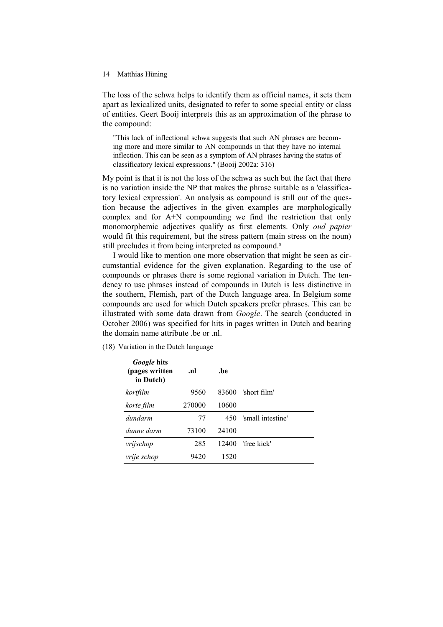The loss of the schwa helps to identify them as official names, it sets them apart as lexicalized units, designated to refer to some special entity or class of entities. Geert Booij interprets this as an approximation of the phrase to the compound:

"This lack of inflectional schwa suggests that such AN phrases are becoming more and more similar to AN compounds in that they have no internal inflection. This can be seen as a symptom of AN phrases having the status of classificatory lexical expressions." (Booij 2002a: 316)

My point is that it is not the loss of the schwa as such but the fact that there is no variation inside the NP that makes the phrase suitable as a 'classificatory lexical expression'. An analysis as compound is still out of the question because the adjectives in the given examples are morphologically complex and for A+N compounding we find the restriction that only monomorphemic adjectives qualify as first elements. Only *oud papier* would fit this requirement, but the stress pattern (main stress on the noun) still precludes it from being interpreted as compound.<sup>[8](#page-16-7)</sup>

I would like to mention one more observation that might be seen as circumstantial evidence for the given explanation. Regarding to the use of compounds or phrases there is some regional variation in Dutch. The tendency to use phrases instead of compounds in Dutch is less distinctive in the southern, Flemish, part of the Dutch language area. In Belgium some compounds are used for which Dutch speakers prefer phrases. This can be illustrated with some data drawn from *Google*. The search (conducted in October 2006) was specified for hits in pages written in Dutch and bearing the domain name attribute .be or .nl.

| <i>Google</i> hits<br>(pages written<br>in Dutch) | .nl    | .be   |                   |
|---------------------------------------------------|--------|-------|-------------------|
| kortfilm                                          | 9560   | 83600 | 'short film'      |
| korte film                                        | 270000 | 10600 |                   |
| dundarm                                           | 77     | 450   | 'small intestine' |
| dunne darm                                        | 73100  | 24100 |                   |
| vrijschop                                         | 285    | 12400 | 'free kick'       |
| vrije schop                                       | 9420   | 1520  |                   |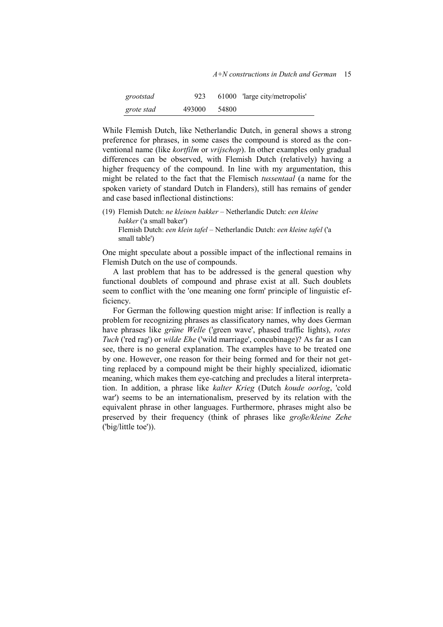| grootstad  | 923    |       | 61000 'large city/metropolis' |
|------------|--------|-------|-------------------------------|
| grote stad | 493000 | 54800 |                               |

While Flemish Dutch, like Netherlandic Dutch, in general shows a strong preference for phrases, in some cases the compound is stored as the conventional name (like *kortfilm* or *vrijschop*). In other examples only gradual differences can be observed, with Flemish Dutch (relatively) having a higher frequency of the compound. In line with my argumentation, this might be related to the fact that the Flemisch *tussentaal* (a name for the spoken variety of standard Dutch in Flanders), still has remains of gender and case based inflectional distinctions:

(19) Flemish Dutch: *ne kleinen bakker* – Netherlandic Dutch: *een kleine bakker* ('a small baker') Flemish Dutch: *een klein tafel* – Netherlandic Dutch: *een kleine tafel* ('a small table')

One might speculate about a possible impact of the inflectional remains in Flemish Dutch on the use of compounds.

A last problem that has to be addressed is the general question why functional doublets of compound and phrase exist at all. Such doublets seem to conflict with the 'one meaning one form' principle of linguistic efficiency.

For German the following question might arise: If inflection is really a problem for recognizing phrases as classificatory names, why does German have phrases like *grüne Welle* ('green wave', phased traffic lights), *rotes Tuch* ('red rag') or *wilde Ehe* ('wild marriage', concubinage)? As far as I can see, there is no general explanation. The examples have to be treated one by one. However, one reason for their being formed and for their not getting replaced by a compound might be their highly specialized, idiomatic meaning, which makes them eye-catching and precludes a literal interpretation. In addition, a phrase like *kalter Krieg* (Dutch *koude oorlog*, 'cold war') seems to be an internationalism, preserved by its relation with the equivalent phrase in other languages. Furthermore, phrases might also be preserved by their frequency (think of phrases like *große/kleine Zehe* ('big/little toe')).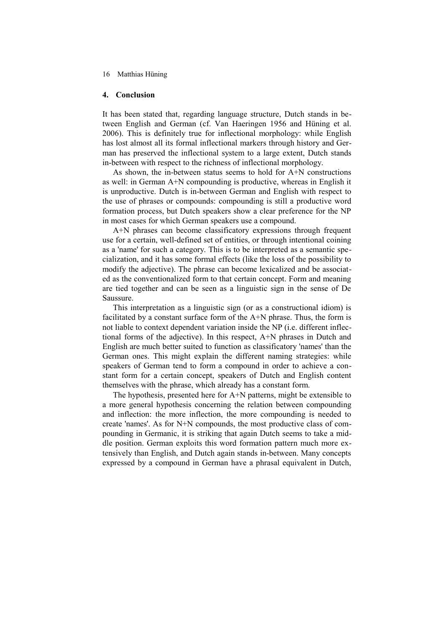# **4. Conclusion**

It has been stated that, regarding language structure, Dutch stands in between English and German (cf. Van Haeringen 1956 and Hüning et al. 2006). This is definitely true for inflectional morphology: while English has lost almost all its formal inflectional markers through history and German has preserved the inflectional system to a large extent, Dutch stands in-between with respect to the richness of inflectional morphology.

As shown, the in-between status seems to hold for A+N constructions as well: in German A+N compounding is productive, whereas in English it is unproductive. Dutch is in-between German and English with respect to the use of phrases or compounds: compounding is still a productive word formation process, but Dutch speakers show a clear preference for the NP in most cases for which German speakers use a compound.

A+N phrases can become classificatory expressions through frequent use for a certain, well-defined set of entities, or through intentional coining as a 'name' for such a category. This is to be interpreted as a semantic specialization, and it has some formal effects (like the loss of the possibility to modify the adjective). The phrase can become lexicalized and be associated as the conventionalized form to that certain concept. Form and meaning are tied together and can be seen as a linguistic sign in the sense of De Saussure.

This interpretation as a linguistic sign (or as a constructional idiom) is facilitated by a constant surface form of the A+N phrase. Thus, the form is not liable to context dependent variation inside the NP (i.e. different inflectional forms of the adjective). In this respect, A+N phrases in Dutch and English are much better suited to function as classificatory 'names' than the German ones. This might explain the different naming strategies: while speakers of German tend to form a compound in order to achieve a constant form for a certain concept, speakers of Dutch and English content themselves with the phrase, which already has a constant form.

The hypothesis, presented here for A+N patterns, might be extensible to a more general hypothesis concerning the relation between compounding and inflection: the more inflection, the more compounding is needed to create 'names'. As for N+N compounds, the most productive class of compounding in Germanic, it is striking that again Dutch seems to take a middle position. German exploits this word formation pattern much more extensively than English, and Dutch again stands in-between. Many concepts expressed by a compound in German have a phrasal equivalent in Dutch,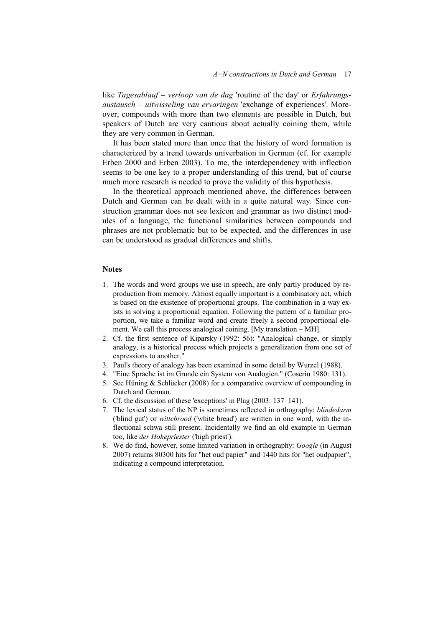like *Tagesablauf – verloop van de dag* 'routine of the day' or *Erfahrungsaustausch – uitwisseling van ervaringen* 'exchange of experiences'. Moreover, compounds with more than two elements are possible in Dutch, but speakers of Dutch are very cautious about actually coining them, while they are very common in German.

It has been stated more than once that the history of word formation is characterized by a trend towards univerbation in German (cf. for example Erben 2000 and Erben 2003). To me, the interdependency with inflection seems to be one key to a proper understanding of this trend, but of course much more research is needed to prove the validity of this hypothesis.

In the theoretical approach mentioned above, the differences between Dutch and German can be dealt with in a quite natural way. Since construction grammar does not see lexicon and grammar as two distinct modules of a language, the functional similarities between compounds and phrases are not problematic but to be expected, and the differences in use can be understood as gradual differences and shifts.

### **Notes**

- <span id="page-16-0"></span>1. The words and word groups we use in speech, are only partly produced by reproduction from memory. Almost equally important is a combinatory act, which is based on the existence of proportional groups. The combination in a way exists in solving a proportional equation. Following the pattern of a familiar proportion, we take a familiar word and create freely a second proportional element. We call this process analogical coining. [My translation – MH].
- <span id="page-16-1"></span>2. Cf. the first sentence of Kiparsky (1992: 56): "Analogical change, or simply analogy, is a historical process which projects a generalization from one set of expressions to another."
- <span id="page-16-2"></span>3. Paul's theory of analogy has been examined in some detail by Wurzel (1988).
- <span id="page-16-3"></span>4. "Eine Sprache ist im Grunde ein System von Analogien." (Coseriu 1980: 131).
- <span id="page-16-4"></span>5. See Hüning & Schlücker (2008) for a comparative overview of compounding in Dutch and German.
- <span id="page-16-5"></span>6. Cf. the discussion of these 'exceptions' in Plag (2003: 137–141).
- <span id="page-16-6"></span>7. The lexical status of the NP is sometimes reflected in orthography: *blindedarm* ('blind gut') or *wittebrood* ('white bread') are written in one word, with the inflectional schwa still present. Incidentally we find an old example in German too, like *der Hohepriester* ('high priest').
- <span id="page-16-7"></span>8. We do find, however, some limited variation in orthography: *Google* (in August 2007) returns 80300 hits for "het oud papier" and 1440 hits for "het oudpapier", indicating a compound interpretation.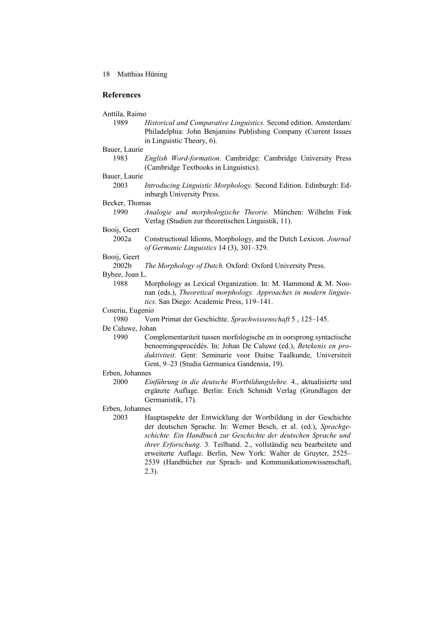# **References**

#### Anttila, Raimo

1989 *Historical and Comparative Linguistics.* Second edition. Amsterdam/ Philadelphia: John Benjamins Publishing Company (Current Issues in Linguistic Theory, 6).

# Bauer, Laurie

1983 *English Word-formation.* Cambridge: Cambridge University Press (Cambridge Textbooks in Linguistics).

## Bauer, Laurie

2003 *Introducing Linguistic Morphology.* Second Edition. Edinburgh: Edinburgh University Press.

# Becker, Thomas

1990 *Analogie und morphologische Theorie.* München: Wilhelm Fink Verlag (Studien zur theoretischen Linguistik, 11).

# Booij, Geert

2002a Constructional Idioms, Morphology, and the Dutch Lexicon. *Journal of Germanic Linguistics* 14 (3), 301–329.

# Booij, Geert

2002b *The Morphology of Dutch.* Oxford: Oxford University Press.

# Bybee, Joan L.

1988 Morphology as Lexical Organization. In: M. Hammond & M. Noonan (eds.), *Theoretical morphology. Approaches in modern linguistics.* San Diego: Academic Press, 119–141.

#### Coseriu, Eugenio

1980 Vom Primat der Geschichte. *Sprachwissenschaft* 5 , 125–145.

#### De Caluwe, Johan

1990 Complementariteit tussen morfologische en in oorsprong syntactische benoemingsprocédés. In: Johan De Caluwe (ed.), *Betekenis en produktiviteit.* Gent: Seminarie voor Duitse Taalkunde, Universiteit Gent, 9–23 (Studia Germanica Gandensia, 19).

# Erben, Johannes

2000 *Einführung in die deutsche Wortbildungslehre.* 4., aktualisierte und ergänzte Auflage. Berlin: Erich Schmidt Verlag (Grundlagen der Germanistik, 17).

#### Erben, Johannes

2003 Hauptaspekte der Entwicklung der Wortbildung in der Geschichte der deutschen Sprache. In: Werner Besch, et al. (ed.), *Sprachgeschichte. Ein Handbuch zur Geschichte der deutschen Sprache und ihrer Erforschung.* 3. Teilband. 2., vollständig neu bearbeitete und erweiterte Auflage. Berlin, New York: Walter de Gruyter, 2525– 2539 (Handbücher zur Sprach- und Kommunikationswissenschaft, 2.3).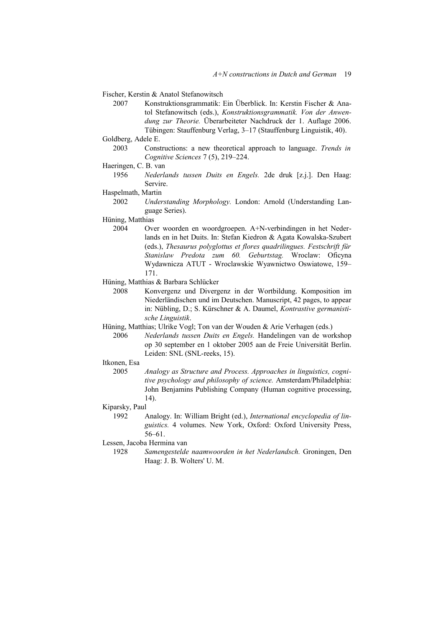Fischer, Kerstin & Anatol Stefanowitsch

- 2007 Konstruktionsgrammatik: Ein Überblick. In: Kerstin Fischer & Anatol Stefanowitsch (eds.), *Konstruktionsgrammatik. Von der Anwendung zur Theorie.* Überarbeiteter Nachdruck der 1. Auflage 2006. Tübingen: Stauffenburg Verlag, 3–17 (Stauffenburg Linguistik, 40).
- Goldberg, Adele E.
	- 2003 Constructions: a new theoretical approach to language. *Trends in Cognitive Sciences* 7 (5), 219–224.
- Haeringen, C. B. van
- 1956 *Nederlands tussen Duits en Engels.* 2de druk [z.j.]. Den Haag: Servire.
- Haspelmath, Martin
	- 2002 *Understanding Morphology.* London: Arnold (Understanding Language Series).
- Hüning, Matthias
	- 2004 Over woorden en woordgroepen. A+N-verbindingen in het Nederlands en in het Duits. In: Stefan Kiedron & Agata Kowalska-Szubert (eds.), *Thesaurus polyglottus et flores quadrilingues. Festschrift für Stanislaw Predota zum 60. Geburtstag.* Wroclaw: Oficyna Wydawnicza ATUT - Wroclawskie Wyawnictwo Oswiatowe, 159– 171.
- Hüning, Matthias & Barbara Schlücker
	- 2008 Konvergenz und Divergenz in der Wortbildung. Komposition im Niederländischen und im Deutschen. Manuscript, 42 pages, to appear in: Nübling, D.; S. Kürschner & A. Daumel, *Kontrastive germanistische Linguistik*.
- Hüning, Matthias; Ulrike Vogl; Ton van der Wouden & Arie Verhagen (eds.)
	- 2006 *Nederlands tussen Duits en Engels.* Handelingen van de workshop op 30 september en 1 oktober 2005 aan de Freie Universität Berlin. Leiden: SNL (SNL-reeks, 15).

# Itkonen, Esa

- 2005 *Analogy as Structure and Process. Approaches in linguistics, cognitive psychology and philosophy of science.* Amsterdam/Philadelphia: John Benjamins Publishing Company (Human cognitive processing, 14).
- Kiparsky, Paul
	- 1992 Analogy. In: William Bright (ed.), *International encyclopedia of linguistics.* 4 volumes. New York, Oxford: Oxford University Press, 56–61.
- Lessen, Jacoba Hermina van
	- 1928 *Samengestelde naamwoorden in het Nederlandsch.* Groningen, Den Haag: J. B. Wolters' U. M.